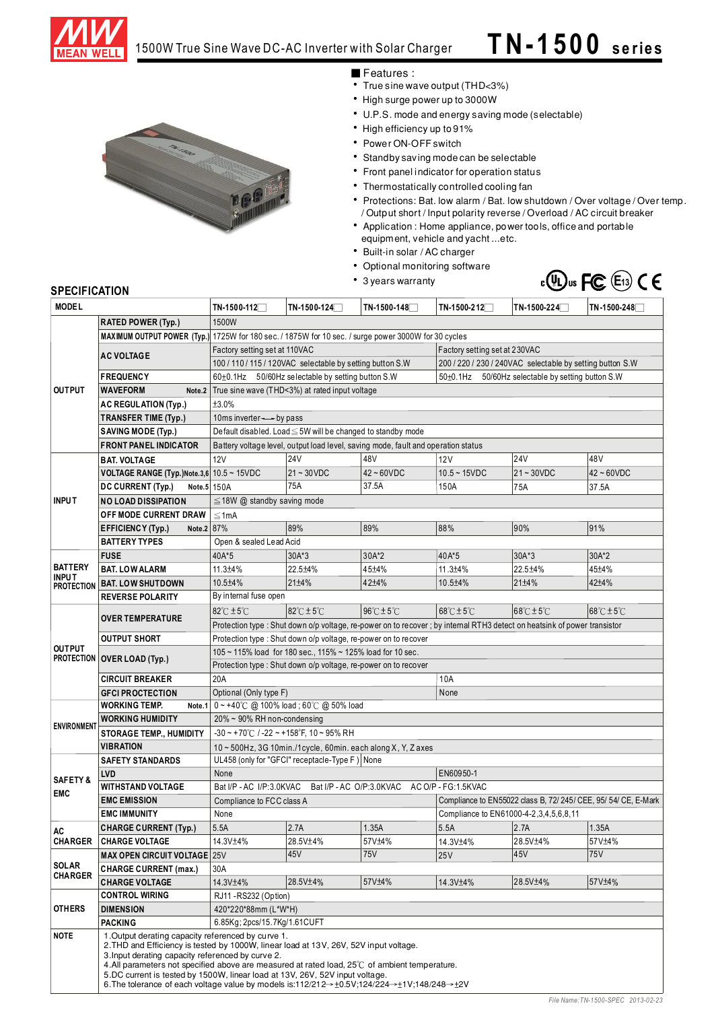

## 1500W True Sine Wave DC-AC Inverter with Solar Charger **T N -1 5 0 0 se rie s**

## Features:

- True sine wave output (THD<3%)
- High surge power up to 3000W
- U.P.S. mode and energy saving mode (selectable)
- High efficiency up to 91%
- Power ON-OFF switch
- Standby saving mode can be selectable
- Front panel indicator for operation status
- Thermostatically controlled cooling fan
- Protections: Bat. low alarm / Bat. low shutdown / Over voltage / Over temp. / Output short / Input polarity reverse / Overload / AC circuit breaker
- Application: Home appliance, power tools, office and portable equipment, vehicle and yacht ... etc.
- Built-in solar / AC charger
- Optional monitoring software
- 3 years warranty



### **SPECIFICATION**

| <b>MODEL</b>                      |                                                                                                         | TN-1500-112 $\Box$                                                                                                                                                                                                                                                                                                                                                                                                         | $TN-1500-124$                                          | TN-1500-148   | TN-1500-212 <sup>-1</sup>                                       | $TN-1500-224$ | TN-1500-248                         |  |  |
|-----------------------------------|---------------------------------------------------------------------------------------------------------|----------------------------------------------------------------------------------------------------------------------------------------------------------------------------------------------------------------------------------------------------------------------------------------------------------------------------------------------------------------------------------------------------------------------------|--------------------------------------------------------|---------------|-----------------------------------------------------------------|---------------|-------------------------------------|--|--|
|                                   | <b>RATED POWER (Typ.)</b>                                                                               | 1500W                                                                                                                                                                                                                                                                                                                                                                                                                      |                                                        |               |                                                                 |               |                                     |  |  |
| <b>OUTPUT</b>                     |                                                                                                         | MAXIMUM OUTPUT POWER (Typ.) 1725W for 180 sec. / 1875W for 10 sec. / surge power 3000W for 30 cycles                                                                                                                                                                                                                                                                                                                       |                                                        |               |                                                                 |               |                                     |  |  |
|                                   | <b>AC VOLTAGE</b>                                                                                       | Factory setting set at 110VAC                                                                                                                                                                                                                                                                                                                                                                                              |                                                        |               | Factory setting set at 230VAC                                   |               |                                     |  |  |
|                                   |                                                                                                         | 100 / 110 / 115 / 120VAC selectable by setting button S.W                                                                                                                                                                                                                                                                                                                                                                  |                                                        |               | 200 / 220 / 230 / 240VAC selectable by setting button S.W       |               |                                     |  |  |
|                                   | <b>FREQUENCY</b>                                                                                        |                                                                                                                                                                                                                                                                                                                                                                                                                            | $60\pm0.1$ Hz 50/60Hz selectable by setting button S.W |               | 50±0.1Hz 50/60Hz selectable by setting button S.W               |               |                                     |  |  |
|                                   | WAVEFORM<br>Note.2                                                                                      | True sine wave (THD<3%) at rated input voltage                                                                                                                                                                                                                                                                                                                                                                             |                                                        |               |                                                                 |               |                                     |  |  |
|                                   | <b>AC REGULATION (Typ.)</b>                                                                             | ±3.0%                                                                                                                                                                                                                                                                                                                                                                                                                      |                                                        |               |                                                                 |               |                                     |  |  |
|                                   | <b>TRANSFER TIME (Typ.)</b>                                                                             | 10ms inverter $\rightarrow$ - by pass                                                                                                                                                                                                                                                                                                                                                                                      |                                                        |               |                                                                 |               |                                     |  |  |
|                                   | <b>SAVING MODE (Typ.)</b>                                                                               | Default disabled. Load ≤ 5W will be changed to standby mode                                                                                                                                                                                                                                                                                                                                                                |                                                        |               |                                                                 |               |                                     |  |  |
|                                   | <b>FRONT PANEL INDICATOR</b>                                                                            | Battery voltage level, output load level, saving mode, fault and operation status                                                                                                                                                                                                                                                                                                                                          |                                                        |               |                                                                 |               |                                     |  |  |
|                                   | <b>BAT. VOLTAGE</b>                                                                                     | 12V                                                                                                                                                                                                                                                                                                                                                                                                                        | <b>24V</b>                                             | 48V           | 12V                                                             | <b>24V</b>    | 48V                                 |  |  |
|                                   | VOLTAGE RANGE (Typ.)Note.3,6 10.5 ~ 15VDC                                                               |                                                                                                                                                                                                                                                                                                                                                                                                                            | $21 - 30$ VDC                                          | $42 - 60$ VDC | $10.5 - 15$ VDC                                                 | $21 - 30VDC$  | $42 \sim 60$ VDC                    |  |  |
|                                   | Note.5 150A<br>DC CURRENT (Typ.)                                                                        |                                                                                                                                                                                                                                                                                                                                                                                                                            | 75A                                                    | 37.5A         | 150A                                                            | 75A           | 37.5A                               |  |  |
| <b>INPUT</b>                      | NO LOAD DISSIPATION                                                                                     | $\leq$ 18W @ standby saving mode                                                                                                                                                                                                                                                                                                                                                                                           |                                                        |               |                                                                 |               |                                     |  |  |
|                                   | OFF MODE CURRENT DRAW                                                                                   | ≤1mA                                                                                                                                                                                                                                                                                                                                                                                                                       |                                                        |               |                                                                 |               |                                     |  |  |
|                                   | Note.2 87%<br>EFFICIENCY (Typ.)                                                                         |                                                                                                                                                                                                                                                                                                                                                                                                                            | 89%                                                    | 89%           | 88%                                                             | 90%           | 91%                                 |  |  |
|                                   | <b>BATTERY TYPES</b>                                                                                    | Open & sealed Lead Acid                                                                                                                                                                                                                                                                                                                                                                                                    |                                                        |               |                                                                 |               |                                     |  |  |
|                                   | <b>FUSE</b>                                                                                             | 40A*5                                                                                                                                                                                                                                                                                                                                                                                                                      | $30A*3$                                                | 30A*2         | 40A*5                                                           | $30A*3$       | 30A*2                               |  |  |
| <b>BATTERY</b>                    | <b>BAT. LOW ALARM</b>                                                                                   | 11.3±4%                                                                                                                                                                                                                                                                                                                                                                                                                    | 22.5±4%                                                | 45±4%         | 11.3±4%                                                         | 22.5±4%       | 45±4%                               |  |  |
| <b>INPUT</b><br><b>PROTECTION</b> | <b>BAT. LOW SHUTDOWN</b>                                                                                | 10.5±4%                                                                                                                                                                                                                                                                                                                                                                                                                    | $21 \pm 4\%$                                           | 42±4%         | 10.5±4%                                                         | 21±4%         | 42+4%                               |  |  |
|                                   | <b>REVERSE POLARITY</b>                                                                                 | By internal fuse open                                                                                                                                                                                                                                                                                                                                                                                                      |                                                        |               |                                                                 |               |                                     |  |  |
|                                   |                                                                                                         | 82°C ±5°C                                                                                                                                                                                                                                                                                                                                                                                                                  | $82^{\circ}$ C $\pm$ 5 $^{\circ}$ C                    | 96°C±5°C      | $68^{\circ}$ C $\pm$ 5 $^{\circ}$ C                             | 68°C±5°C      | $68^{\circ}$ C $\pm$ 5 $^{\circ}$ C |  |  |
|                                   | <b>OVER TEMPERATURE</b>                                                                                 |                                                                                                                                                                                                                                                                                                                                                                                                                            |                                                        |               |                                                                 |               |                                     |  |  |
|                                   | <b>OUTPUT SHORT</b>                                                                                     | Protection type : Shut down o/p voltage, re-power on to recover; by internal RTH3 detect on heatsink of power transistor<br>Protection type : Shut down o/p voltage, re-power on to recover                                                                                                                                                                                                                                |                                                        |               |                                                                 |               |                                     |  |  |
| <b>OUTPUT</b>                     |                                                                                                         | 105~115% load for 180 sec., 115% ~ 125% load for 10 sec.                                                                                                                                                                                                                                                                                                                                                                   |                                                        |               |                                                                 |               |                                     |  |  |
|                                   | <b>PROTECTION OVER LOAD (Typ.)</b>                                                                      | Protection type : Shut down o/p voltage, re-power on to recover                                                                                                                                                                                                                                                                                                                                                            |                                                        |               |                                                                 |               |                                     |  |  |
|                                   | <b>CIRCUIT BREAKER</b>                                                                                  | 20A                                                                                                                                                                                                                                                                                                                                                                                                                        |                                                        |               |                                                                 | 10A           |                                     |  |  |
|                                   | <b>GFCI PROCTECTION</b>                                                                                 | Optional (Only type F)                                                                                                                                                                                                                                                                                                                                                                                                     |                                                        |               | None                                                            |               |                                     |  |  |
|                                   | <b>WORKING TEMP.</b>                                                                                    | Note.1 $0 \sim +40^{\circ}$ C @ 100% load; 60°C @ 50% load                                                                                                                                                                                                                                                                                                                                                                 |                                                        |               |                                                                 |               |                                     |  |  |
|                                   | <b>WORKING HUMIDITY</b>                                                                                 |                                                                                                                                                                                                                                                                                                                                                                                                                            | $20\% \sim 90\%$ RH non-condensing                     |               |                                                                 |               |                                     |  |  |
| <b>ENVIRONMENT</b>                | <b>STORAGE TEMP., HUMIDITY</b>                                                                          | $-30$ ~ +70°C / -22 ~ +158°F, 10 ~ 95% RH                                                                                                                                                                                                                                                                                                                                                                                  |                                                        |               |                                                                 |               |                                     |  |  |
|                                   | <b>VIBRATION</b>                                                                                        | $10 \sim 500$ Hz, 3G 10min./1 cycle, 60min. each along X, Y, Z axes                                                                                                                                                                                                                                                                                                                                                        |                                                        |               |                                                                 |               |                                     |  |  |
|                                   | <b>SAFETY STANDARDS</b>                                                                                 | UL458 (only for "GFCI" receptacle-Type F) None                                                                                                                                                                                                                                                                                                                                                                             |                                                        |               |                                                                 |               |                                     |  |  |
|                                   | <b>LVD</b>                                                                                              | EN60950-1<br>None                                                                                                                                                                                                                                                                                                                                                                                                          |                                                        |               |                                                                 |               |                                     |  |  |
| <b>SAFETY &amp;</b>               | <b>WITHSTAND VOLTAGE</b>                                                                                | Bat I/P - AC I/P:3.0KVAC<br>Bat I/P - AC O/P:3.0KVAC AC O/P - FG:1.5KVAC                                                                                                                                                                                                                                                                                                                                                   |                                                        |               |                                                                 |               |                                     |  |  |
| <b>EMC</b>                        | <b>EMC EMISSION</b>                                                                                     | Compliance to FCC class A                                                                                                                                                                                                                                                                                                                                                                                                  |                                                        |               | Compliance to EN55022 class B, 72/ 245/ CEE, 95/ 54/ CE, E-Mark |               |                                     |  |  |
|                                   | <b>EMC IMMUNITY</b>                                                                                     | None                                                                                                                                                                                                                                                                                                                                                                                                                       |                                                        |               | Compliance to EN61000-4-2, 3, 4, 5, 6, 8, 11                    |               |                                     |  |  |
| AC                                | <b>CHARGE CURRENT (Typ.)</b>                                                                            | 5.5A                                                                                                                                                                                                                                                                                                                                                                                                                       | 2.7A                                                   | 1.35A         | 5.5A                                                            | 2.7A          | 1.35A                               |  |  |
| <b>CHARGER</b>                    | <b>CHARGE VOLTAGE</b>                                                                                   | 14.3V±4%                                                                                                                                                                                                                                                                                                                                                                                                                   | 28.5V±4%                                               | 57V±4%        | 14.3V±4%                                                        | 28.5V±4%      | 57V±4%                              |  |  |
|                                   | <b>MAX OPEN CIRCUIT VOLTAGE 25V</b>                                                                     |                                                                                                                                                                                                                                                                                                                                                                                                                            | 45V                                                    | <b>75V</b>    | <b>25V</b>                                                      | 45V           | 75V                                 |  |  |
| <b>SOLAR</b><br><b>CHARGER</b>    | <b>CHARGE CURRENT (max.)</b>                                                                            | 30A                                                                                                                                                                                                                                                                                                                                                                                                                        |                                                        |               |                                                                 |               |                                     |  |  |
|                                   | <b>CHARGE VOLTAGE</b>                                                                                   | 14.3V±4%                                                                                                                                                                                                                                                                                                                                                                                                                   | 28.5V±4%                                               | 57V±4%        | 14.3V±4%                                                        | 28.5V±4%      | 57V±4%                              |  |  |
|                                   | <b>CONTROL WIRING</b>                                                                                   | RJ11 - RS232 (Option)                                                                                                                                                                                                                                                                                                                                                                                                      |                                                        |               |                                                                 |               |                                     |  |  |
| <b>OTHERS</b>                     | <b>DIMENSION</b>                                                                                        | 420*220*88mm (L*W*H)                                                                                                                                                                                                                                                                                                                                                                                                       |                                                        |               |                                                                 |               |                                     |  |  |
|                                   | <b>PACKING</b>                                                                                          | 6.85Kg; 2pcs/15.7Kg/1.61CUFT                                                                                                                                                                                                                                                                                                                                                                                               |                                                        |               |                                                                 |               |                                     |  |  |
| <b>NOTE</b>                       | 1. Output derating capacity referenced by curve 1.<br>3. Input derating capacity referenced by curve 2. | 2. THD and Efficiency is tested by 1000W, linear load at 13V, 26V, 52V input voltage.<br>4. All parameters not specified above are measured at rated load, 25°C of ambient temperature.<br>5.DC current is tested by 1500W, linear load at 13V, 26V, 52V input voltage.<br>6. The tolerance of each voltage value by models is:112/212 $\rightarrow \pm 0.5$ V:124/224 $\rightarrow \pm 1$ V:148/248 $\rightarrow \pm 2$ V |                                                        |               |                                                                 |               |                                     |  |  |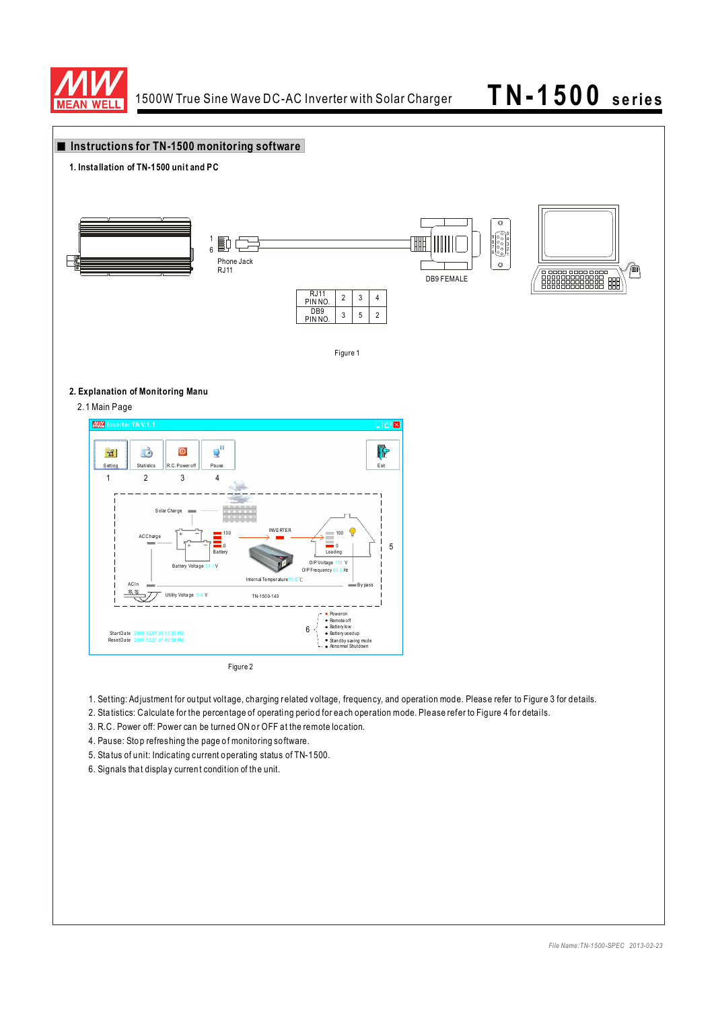

### **Instructions for TN-1500 monitoring software1. Installation of TN-1500 unit and PC** Ø  $\begin{bmatrix} 6 & 0 & 0 \\ 0 & 0 & 0 \\ 0 & 0 & 0 \\ 0 & 0 & 0 \\ 0 & 0 & 0 \\ 0 & 0 & 0 \\ 0 & 0 & 0 \\ 0 & 0 & 0 \\ 0 & 0 & 0 \\ 0 & 0 & 0 \\ 0 & 0 & 0 \\ 0 & 0 & 0 \\ 0 & 0 & 0 \\ 0 & 0 & 0 & 0 \\ 0 & 0 & 0 & 0 \\ 0 & 0 & 0 & 0 \\ 0 & 0 & 0 & 0 & 0 \\ 0 & 0 & 0 & 0 & 0 \\ 0 & 0 & 0 & 0 & 0 \\ 0 & 0 & 0 & 0 & 0 &$ 1 4 6 F Phone Jack RJ11  $\triangle$  $\begin{picture}(10,10) \put(0,0){\line(1,0){100}} \put(0,0){\line(1,0){100}} \put(0,0){\line(1,0){100}} \put(0,0){\line(1,0){100}} \put(0,0){\line(1,0){100}} \put(0,0){\line(1,0){100}} \put(0,0){\line(1,0){100}} \put(0,0){\line(1,0){100}} \put(0,0){\line(1,0){100}} \put(0,0){\line(1,0){100}} \put(0,0){\line(1,0){100}} \put(0,0){\line(1$ DB9 FEMALE RJ11 2 3 4 PIN NO. D<sub>B9</sub> 3 5  $\overline{2}$ PIN NO. Figure 1 **2. Explanation of Monitoring Manu** 2.1 Main Page **IMM** Inverter TN V.1.  $\Box$ pk  $Q^{\rm II}$ à  $\overline{\mathbf{0}}$ ìŀ  $r_{\rm s}$ S etting Statistics R.C. Power off Pause Research Assets Containing the Exit Exit Research Assets Research Assets Research Assets Research Assets Research Assets Research Assets Research Assets Research Assets Research Assets Resea 1 2 3 4 S olar Char ge INVE RTER ACCharge  $\begin{bmatrix} + & - \end{bmatrix}$   $\blacksquare$   $^{100}$   $\longrightarrow$   $\blacksquare$   $\longrightarrow$   $\longrightarrow$   $\longrightarrow$   $\square$   $^{100}$ 5 0 0 Loading Battery Voltage 54.1 V O/P Voltage 110 V<br>O/P Frequency 60.0 Hz I ntern al Te mper ature ℃ ACI n B y pa ss Utility Voltage 0.0 V TN-1500-143 Poweron Remote o ff Batte ry low Batte ry used up Stan dby saving mod e Abno rmal Shutdown 6 Sta rt Da te Reset Da te 2 007/1 2/07 03:1 3:33 PM 2 007/1 2/21 01:4 0:56 PM Figure 2

- 1. Setting: Adjustment for output voltage, charging related voltage, frequency, and operation mode. Please refer to Figure 3 for details.
- 2. Sta tistics: Calculate for the percentage of operating period for each operation mode. Please refer to Figure 4 for details.
- 3. R.C. Power off: Power can be turned ON or OFF at the remote location.
- 4. Pause: Stop refreshing the page of monitoring software.
- 5. Sta tus of unit: Indicating current o perating status of TN-1500.
- 6. Signals tha t displa y curren t condition of th e unit.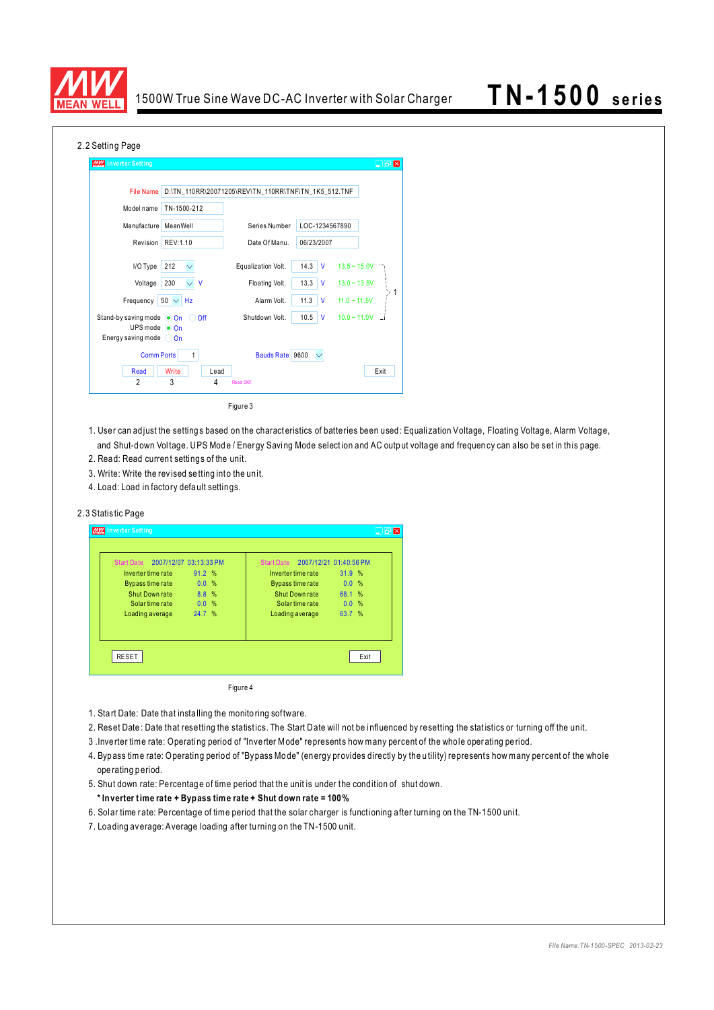

| 2.2 Setting Page                                                                   |                               |                                                      |                      |                |
|------------------------------------------------------------------------------------|-------------------------------|------------------------------------------------------|----------------------|----------------|
| MW Inverter Setting                                                                |                               |                                                      |                      | $\Box$ en      |
| <b>File Name</b><br>Model name                                                     | TN-1500-212                   | D:\TN 110RR\20071205\REV\TN 110RR\TNF\TN 1K5 512.TNF |                      |                |
| Manufacture                                                                        | MeanWell                      | Series Number                                        | LOC-1234567890       |                |
| Revision                                                                           | REV:1.10                      | Date Of Manu.                                        | 06/23/2007           |                |
| I/O Type                                                                           | 212                           | Equalization Volt.                                   | 14.3<br>$\mathsf{v}$ | $13.5 - 15.0V$ |
| Voltage                                                                            | 230<br>$\vee$<br>$\mathsf{V}$ | Floating Volt.                                       | 13.3<br>$\mathsf{V}$ | $13.0 - 13.5V$ |
| Frequency                                                                          | $50 \vee$<br>Hz               | Alarm Volt.                                          | 11.3<br>$\mathsf{V}$ | $11.0 - 11.5V$ |
| Stand-by saving mode On<br>UPS mode $\odot$ On<br>Energy saving mode $\bigcirc$ On | Off<br>- 0                    | Shutdown Volt.                                       | 10.5<br>$\mathsf{V}$ | $10.0 - 11.0V$ |
| <b>Comm Ports</b>                                                                  | 1                             | Bauds Rate 9600                                      |                      |                |
| Read                                                                               | Write<br>Lead                 |                                                      |                      | Exit           |
| $\overline{2}$                                                                     | 3<br>4                        | Read OK!                                             |                      |                |

Figure 3

- 1. User can adjust the settings based on the charact eristics of batteries been used: Equalization Voltage, Floating Voltage, Alarm Voltage, and Shut-down Voltage. UPS Mode / Energy Saving Mode selection and AC output voltage and frequency can also be set in this page.
- 2. Read: Read current settings of the unit.
- 3. Write: Write the revised se tting into the unit.
- 4. Load: Load in factory defa ult settings.

### 2.3 Statistic Page

| <b>MIX</b> Inverter Setting                                                                                                                   |                                          |                                                                                                                                     |                                            |  |
|-----------------------------------------------------------------------------------------------------------------------------------------------|------------------------------------------|-------------------------------------------------------------------------------------------------------------------------------------|--------------------------------------------|--|
| 2007/12/07 03:13:33 PM<br><b>Start Date</b><br>Inverter time rate<br>Bypass time rate<br>Shut Down rate<br>Solar time rate<br>Loading average | 91.2%<br>0.0%<br>8.8 %<br>0.0%<br>24.7 % | Start Date 2007/12/21 01:40:56 PM<br>Inverter time rate<br>Bypass time rate<br>Shut Down rate<br>Solar time rate<br>Loading average | 31.9 %<br>0.0%<br>68.1 %<br>0.0%<br>63.7 % |  |
| <b>RESET</b>                                                                                                                                  |                                          |                                                                                                                                     | Exit                                       |  |

Figure 4

- 1. Sta rt Date: Date that insta lling the monito ring software.
- 2. Reset Date: Date that resetting the statistics. The Start Date will not be influenced by resetting the statistics or turning off the unit.
- 3 .Inve rter time rate: Operati ng period of "Inverter M ode" represents how many percent of the whole oper ating pe riod.
- 4. Bypass time rate: Operating period of "Bypass Mode" (energy provides directly by the utility) represents how many percent of the whole ope rating p eriod.
- 5. Shut down rate: Percentage of time period that the unit is under the condition of shut down.

### **\* Inverter t ime rate + Bypass time rate + Shut down rate = 100 %**

- 6. Solar time r ate: Percentage of time period that the solar charger is functioning after turn ing on the TN-1500 unit.
- 7. Loading average: Average loading after turning on the TN-1500 unit.